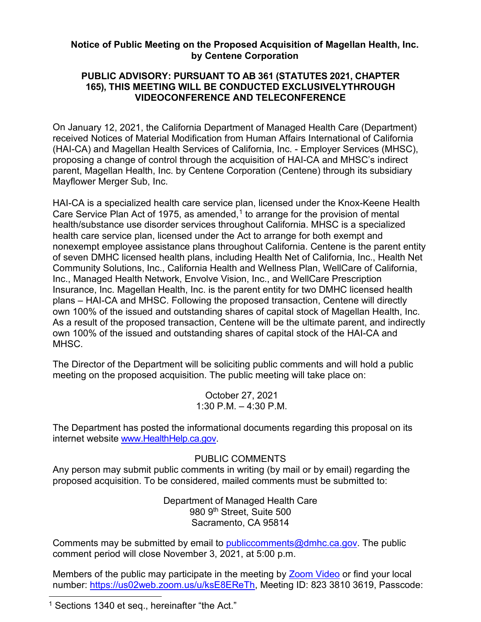## **Notice of Public Meeting on the Proposed Acquisition of Magellan Health, Inc. by Centene Corporation**

## **165), THIS MEETING WILL BE CONDUCTED EXCLUSIVELYTHROUGH VIDEOCONFERENCE AND TELECONFERENCE PUBLIC ADVISORY: PURSUANT TO AB 361 (STATUTES 2021, CHAPTER**

 (HAI-CA) and Magellan Health Services of California, Inc. - Employer Services (MHSC), On January 12, 2021, the California Department of Managed Health Care (Department) received Notices of Material Modification from Human Affairs International of California proposing a change of control through the acquisition of HAI-CA and MHSC's indirect parent, Magellan Health, Inc. by Centene Corporation (Centene) through its subsidiary Mayflower Merger Sub, Inc.

Care Service Plan Act of 1975, as amended,<sup>1</sup> to arrange for the provision of mental Insurance, Inc. Magellan Health, Inc. is the parent entity for two DMHC licensed health HAI-CA is a specialized health care service plan, licensed under the Knox-Keene Health health/substance use disorder services throughout California. MHSC is a specialized health care service plan, licensed under the Act to arrange for both exempt and nonexempt employee assistance plans throughout California. Centene is the parent entity of seven DMHC licensed health plans, including Health Net of California, Inc., Health Net Community Solutions, Inc., California Health and Wellness Plan, WellCare of California, Inc., Managed Health Network, Envolve Vision, Inc., and WellCare Prescription plans – HAI-CA and MHSC. Following the proposed transaction, Centene will directly own 100% of the issued and outstanding shares of capital stock of Magellan Health, Inc. As a result of the proposed transaction, Centene will be the ultimate parent, and indirectly own 100% of the issued and outstanding shares of capital stock of the HAI-CA and MHSC.

 meeting on the proposed acquisition. The public meeting will take place on: The Director of the Department will be soliciting public comments and will hold a public

> 1:30 P.M. – 4:30 P.M. October 27, 2021

 The Department has posted the informational documents regarding this proposal on its internet website <u>www.HealthHelp.ca.gov</u>

## PUBLIC COMMENTS

 proposed acquisition. To be considered, mailed comments must be submitted to: Any person may submit public comments in writing (by mail or by email) regarding the

> Department of Managed Health Care 980 9th Street, Suite 500 Sacramento, CA 95814

Comments may be submitted by email to <u>publiccomments@dmhc.ca.gov</u>. The public comment period will close November 3, 2021, at 5:00 p.m.

number: <u>https://us02web.zoom.us/u/ksE8EReTh,</u> Meeting ID: 823 3810 3619, Passcode: Members of the public may participate in the meeting by **Zoom Video or find your local** 

<span id="page-0-0"></span><sup>&</sup>lt;sup>1</sup> Sections 1340 et seq., hereinafter "the Act."